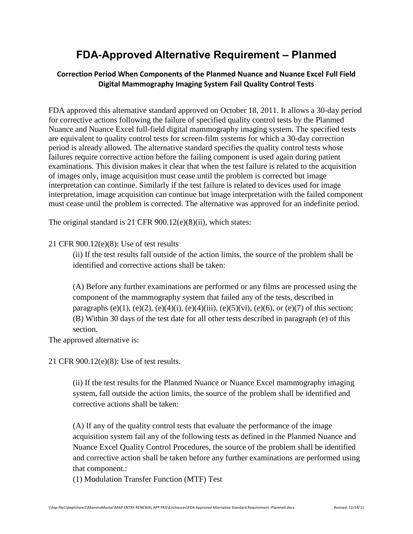## **FDA-Approved Alternative Requirement – Planmed**

## **Correction Period When Components of the Planmed Nuance and Nuance Excel Full Field Digital Mammography Imaging System Fail Quality Control Tests**

FDA approved this alternative standard approved on October 18, 2011. It allows a 30-day period for corrective actions following the failure of specified quality control tests by the Planmed Nuance and Nuance Excel full-field digital mammography imaging system. The specified tests are equivalent to quality control tests for screen-film systems for which a 30-day correction period is already allowed. The alternative standard specifies the quality control tests whose failures require corrective action before the failing component is used again during patient examinations. This division makes it clear that when the test failure is related to the acquisition of images only, image acquisition must cease until the problem is corrected but image interpretation can continue. Similarly if the test failure is related to devices used for image interpretation, image acquisition can continue but image interpretation with the failed component must cease until the problem is corrected. The alternative was approved for an indefinite period.

The original standard is 21 CFR 900.12(e)(8)(ii), which states:

## 21 CFR 900.12(e)(8): Use of test results

(ii) If the test results fall outside of the action limits, the source of the problem shall be identified and corrective actions shall be taken:

(A) Before any further examinations are performed or any films are processed using the component of the mammography system that failed any of the tests, described in paragraphs (e)(1), (e)(2), (e)(4)(i), (e)(4)(iii), (e)(5)(vi), (e)(6), or (e)(7) of this section; (B) Within 30 days of the test date for all other tests described in paragraph (e) of this section.

The approved alternative is:

21 CFR 900.12(e)(8): Use of test results.

(ii) If the test results for the Planmed Nuance or Nuance Excel mammography imaging system, fall outside the action limits, the source of the problem shall be identified and corrective actions shall be taken:

(A) If any of the quality control tests that evaluate the performance of the image acquisition system fail any of the following tests as defined in the Planmed Nuance and Nuance Excel Quality Control Procedures, the source of the problem shall be identified and corrective action shall be taken before any further examinations are performed using that component.:

(1) Modulation Transfer Function (MTF) Test